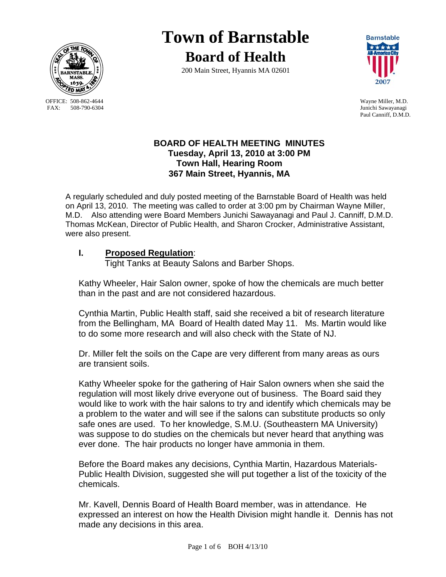

OFFICE: 508-862-4644 Wayne Miller, M.D.<br>
FAX: 508-790-6304 Junichi Sawavanagi

# **Town of Barnstable Board of Health**

200 Main Street, Hyannis MA 02601



Junichi Sawayanagi Paul Canniff, D.M.D.

## **BOARD OF HEALTH MEETING MINUTES Tuesday, April 13, 2010 at 3:00 PM Town Hall, Hearing Room 367 Main Street, Hyannis, MA**

A regularly scheduled and duly posted meeting of the Barnstable Board of Health was held on April 13, 2010. The meeting was called to order at 3:00 pm by Chairman Wayne Miller, M.D. Also attending were Board Members Junichi Sawayanagi and Paul J. Canniff, D.M.D. Thomas McKean, Director of Public Health, and Sharon Crocker, Administrative Assistant, were also present.

## **I. Proposed Regulation**:

Tight Tanks at Beauty Salons and Barber Shops.

Kathy Wheeler, Hair Salon owner, spoke of how the chemicals are much better than in the past and are not considered hazardous.

Cynthia Martin, Public Health staff, said she received a bit of research literature from the Bellingham, MA Board of Health dated May 11. Ms. Martin would like to do some more research and will also check with the State of NJ.

Dr. Miller felt the soils on the Cape are very different from many areas as ours are transient soils.

Kathy Wheeler spoke for the gathering of Hair Salon owners when she said the regulation will most likely drive everyone out of business. The Board said they would like to work with the hair salons to try and identify which chemicals may be a problem to the water and will see if the salons can substitute products so only safe ones are used. To her knowledge, S.M.U. (Southeastern MA University) was suppose to do studies on the chemicals but never heard that anything was ever done. The hair products no longer have ammonia in them.

Before the Board makes any decisions, Cynthia Martin, Hazardous Materials-Public Health Division, suggested she will put together a list of the toxicity of the chemicals.

Mr. Kavell, Dennis Board of Health Board member, was in attendance. He expressed an interest on how the Health Division might handle it. Dennis has not made any decisions in this area.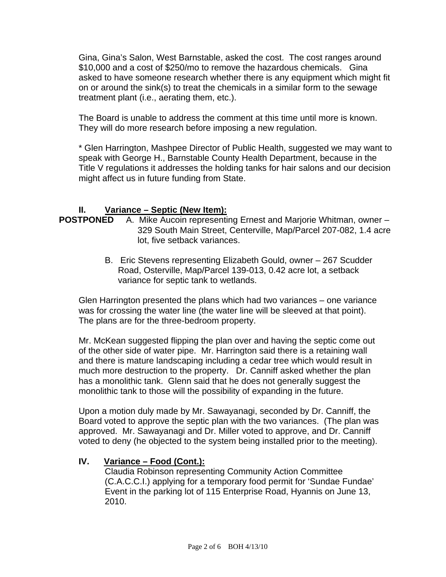Gina, Gina's Salon, West Barnstable, asked the cost. The cost ranges around \$10,000 and a cost of \$250/mo to remove the hazardous chemicals. Gina asked to have someone research whether there is any equipment which might fit on or around the sink(s) to treat the chemicals in a similar form to the sewage treatment plant (i.e., aerating them, etc.).

The Board is unable to address the comment at this time until more is known. They will do more research before imposing a new regulation.

\* Glen Harrington, Mashpee Director of Public Health, suggested we may want to speak with George H., Barnstable County Health Department, because in the Title V regulations it addresses the holding tanks for hair salons and our decision might affect us in future funding from State.

## **II. Variance – Septic (New Item):**

- **POSTPONED** A. Mike Aucoin representing Ernest and Marjorie Whitman, owner 329 South Main Street, Centerville, Map/Parcel 207-082, 1.4 acre lot, five setback variances.
	- B. Eric Stevens representing Elizabeth Gould, owner 267 Scudder Road, Osterville, Map/Parcel 139-013, 0.42 acre lot, a setback variance for septic tank to wetlands.

Glen Harrington presented the plans which had two variances – one variance was for crossing the water line (the water line will be sleeved at that point). The plans are for the three-bedroom property.

Mr. McKean suggested flipping the plan over and having the septic come out of the other side of water pipe. Mr. Harrington said there is a retaining wall and there is mature landscaping including a cedar tree which would result in much more destruction to the property. Dr. Canniff asked whether the plan has a monolithic tank. Glenn said that he does not generally suggest the monolithic tank to those will the possibility of expanding in the future.

Upon a motion duly made by Mr. Sawayanagi, seconded by Dr. Canniff, the Board voted to approve the septic plan with the two variances. (The plan was approved. Mr. Sawayanagi and Dr. Miller voted to approve, and Dr. Canniff voted to deny (he objected to the system being installed prior to the meeting).

# **IV. Variance – Food (Cont.):**

Claudia Robinson representing Community Action Committee (C.A.C.C.I.) applying for a temporary food permit for 'Sundae Fundae' Event in the parking lot of 115 Enterprise Road, Hyannis on June 13, 2010.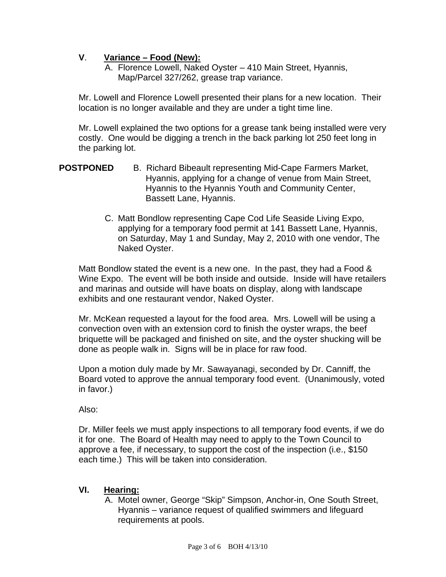## **V**. **Variance – Food (New):**

A. Florence Lowell, Naked Oyster – 410 Main Street, Hyannis, Map/Parcel 327/262, grease trap variance.

Mr. Lowell and Florence Lowell presented their plans for a new location. Their location is no longer available and they are under a tight time line.

Mr. Lowell explained the two options for a grease tank being installed were very costly. One would be digging a trench in the back parking lot 250 feet long in the parking lot.

- **POSTPONED** B. Richard Bibeault representing Mid-Cape Farmers Market, Hyannis, applying for a change of venue from Main Street, Hyannis to the Hyannis Youth and Community Center, Bassett Lane, Hyannis.
	- C. Matt Bondlow representing Cape Cod Life Seaside Living Expo, applying for a temporary food permit at 141 Bassett Lane, Hyannis, on Saturday, May 1 and Sunday, May 2, 2010 with one vendor, The Naked Oyster.

Matt Bondlow stated the event is a new one. In the past, they had a Food & Wine Expo. The event will be both inside and outside. Inside will have retailers and marinas and outside will have boats on display, along with landscape exhibits and one restaurant vendor, Naked Oyster.

Mr. McKean requested a layout for the food area. Mrs. Lowell will be using a convection oven with an extension cord to finish the oyster wraps, the beef briquette will be packaged and finished on site, and the oyster shucking will be done as people walk in. Signs will be in place for raw food.

Upon a motion duly made by Mr. Sawayanagi, seconded by Dr. Canniff, the Board voted to approve the annual temporary food event. (Unanimously, voted in favor.)

Also:

Dr. Miller feels we must apply inspections to all temporary food events, if we do it for one. The Board of Health may need to apply to the Town Council to approve a fee, if necessary, to support the cost of the inspection (i.e., \$150 each time.) This will be taken into consideration.

## **VI. Hearing:**

A. Motel owner, George "Skip" Simpson, Anchor-in, One South Street, Hyannis – variance request of qualified swimmers and lifeguard requirements at pools.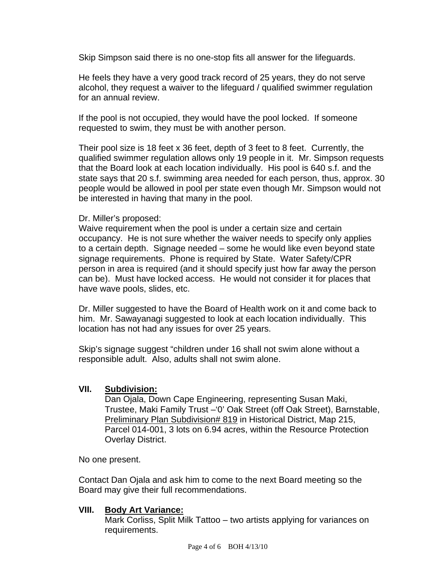Skip Simpson said there is no one-stop fits all answer for the lifeguards.

He feels they have a very good track record of 25 years, they do not serve alcohol, they request a waiver to the lifeguard / qualified swimmer regulation for an annual review.

If the pool is not occupied, they would have the pool locked. If someone requested to swim, they must be with another person.

Their pool size is 18 feet x 36 feet, depth of 3 feet to 8 feet. Currently, the qualified swimmer regulation allows only 19 people in it. Mr. Simpson requests that the Board look at each location individually. His pool is 640 s.f. and the state says that 20 s.f. swimming area needed for each person, thus, approx. 30 people would be allowed in pool per state even though Mr. Simpson would not be interested in having that many in the pool.

#### Dr. Miller's proposed:

Waive requirement when the pool is under a certain size and certain occupancy. He is not sure whether the waiver needs to specify only applies to a certain depth. Signage needed – some he would like even beyond state signage requirements. Phone is required by State. Water Safety/CPR person in area is required (and it should specify just how far away the person can be). Must have locked access. He would not consider it for places that have wave pools, slides, etc.

Dr. Miller suggested to have the Board of Health work on it and come back to him. Mr. Sawayanagi suggested to look at each location individually. This location has not had any issues for over 25 years.

Skip's signage suggest "children under 16 shall not swim alone without a responsible adult. Also, adults shall not swim alone.

## **VII. Subdivision:**

Dan Ojala, Down Cape Engineering, representing Susan Maki, Trustee, Maki Family Trust –'0' Oak Street (off Oak Street), Barnstable, **Preliminary Plan Subdivision# 819 in Historical District, Map 215,** Parcel 014-001, 3 lots on 6.94 acres, within the Resource Protection Overlay District.

No one present.

Contact Dan Ojala and ask him to come to the next Board meeting so the Board may give their full recommendations.

#### **VIII. Body Art Variance:**

Mark Corliss, Split Milk Tattoo – two artists applying for variances on requirements.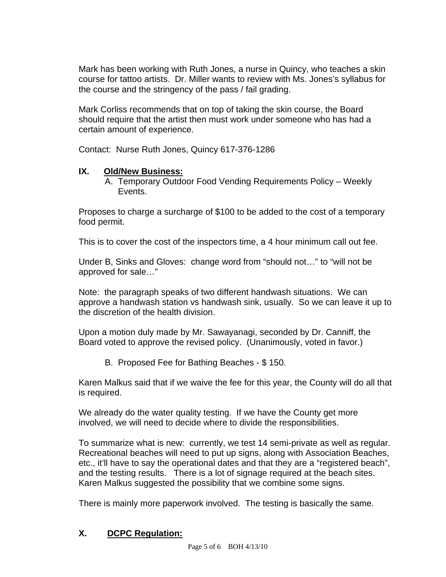Mark has been working with Ruth Jones, a nurse in Quincy, who teaches a skin course for tattoo artists. Dr. Miller wants to review with Ms. Jones's syllabus for the course and the stringency of the pass / fail grading.

Mark Corliss recommends that on top of taking the skin course, the Board should require that the artist then must work under someone who has had a certain amount of experience.

Contact: Nurse Ruth Jones, Quincy 617-376-1286

# **IX. Old/New Business:**

A. Temporary Outdoor Food Vending Requirements Policy – Weekly Events.

Proposes to charge a surcharge of \$100 to be added to the cost of a temporary food permit.

This is to cover the cost of the inspectors time, a 4 hour minimum call out fee.

Under B, Sinks and Gloves: change word from "should not…" to "will not be approved for sale…"

Note: the paragraph speaks of two different handwash situations. We can approve a handwash station vs handwash sink, usually. So we can leave it up to the discretion of the health division.

Upon a motion duly made by Mr. Sawayanagi, seconded by Dr. Canniff, the Board voted to approve the revised policy. (Unanimously, voted in favor.)

B. Proposed Fee for Bathing Beaches - \$ 150.

Karen Malkus said that if we waive the fee for this year, the County will do all that is required.

We already do the water quality testing. If we have the County get more involved, we will need to decide where to divide the responsibilities.

To summarize what is new: currently, we test 14 semi-private as well as regular. Recreational beaches will need to put up signs, along with Association Beaches, etc., it'll have to say the operational dates and that they are a "registered beach", and the testing results. There is a lot of signage required at the beach sites. Karen Malkus suggested the possibility that we combine some signs.

There is mainly more paperwork involved. The testing is basically the same.

# **X. DCPC Regulation:**